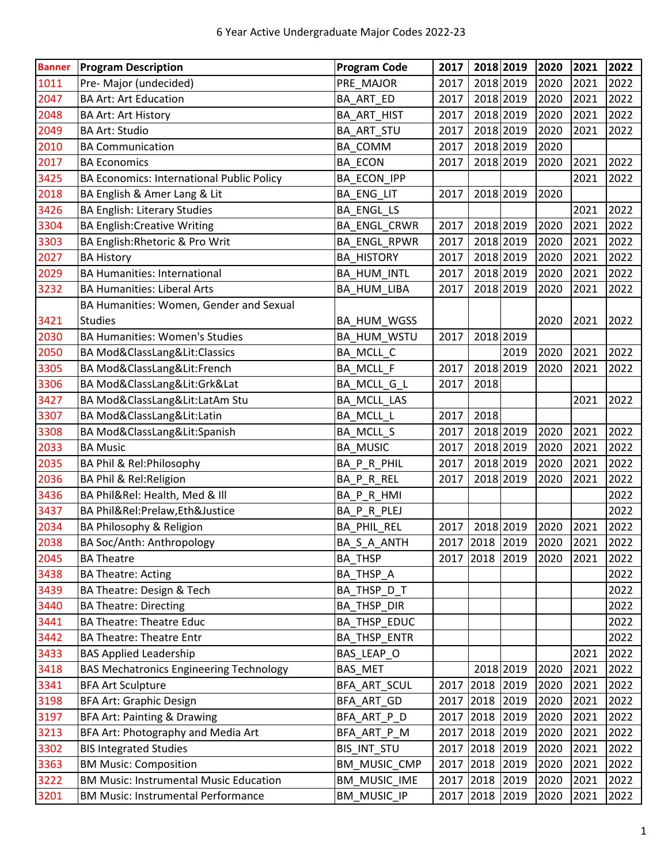| <b>Banner</b> | <b>Program Description</b>                     | <b>Program Code</b> | 2017           | 2018 2019      |      | 2020 | 2021 | 2022 |
|---------------|------------------------------------------------|---------------------|----------------|----------------|------|------|------|------|
| 1011          | Pre-Major (undecided)                          | PRE_MAJOR           | 2017           | 2018 2019      |      | 2020 | 2021 | 2022 |
| 2047          | <b>BA Art: Art Education</b>                   | BA_ART_ED           | 2017           | 2018 2019      |      | 2020 | 2021 | 2022 |
| 2048          | <b>BA Art: Art History</b>                     | BA_ART_HIST         | 2017           | 2018 2019      |      | 2020 | 2021 | 2022 |
| 2049          | <b>BA Art: Studio</b>                          | BA_ART_STU          | 2017           | 2018 2019      |      | 2020 | 2021 | 2022 |
| 2010          | <b>BA Communication</b>                        | BA_COMM             | 2017           | 2018 2019      |      | 2020 |      |      |
| 2017          | <b>BA Economics</b>                            | <b>BA_ECON</b>      | 2017           | 2018 2019      |      | 2020 | 2021 | 2022 |
| 3425          | BA Economics: International Public Policy      | BA_ECON_IPP         |                |                |      |      | 2021 | 2022 |
| 2018          | BA English & Amer Lang & Lit                   | BA_ENG_LIT          | 2017           | 2018 2019      |      | 2020 |      |      |
| 3426          | <b>BA English: Literary Studies</b>            | <b>BA ENGL LS</b>   |                |                |      |      | 2021 | 2022 |
| 3304          | <b>BA English: Creative Writing</b>            | BA_ENGL_CRWR        | 2017           | 2018 2019      |      | 2020 | 2021 | 2022 |
| 3303          | BA English: Rhetoric & Pro Writ                | BA_ENGL_RPWR        | 2017           | 2018 2019      |      | 2020 | 2021 | 2022 |
| 2027          | <b>BA History</b>                              | <b>BA_HISTORY</b>   | 2017           | 2018 2019      |      | 2020 | 2021 | 2022 |
| 2029          | <b>BA Humanities: International</b>            | BA_HUM_INTL         | 2017           | 2018 2019      |      | 2020 | 2021 | 2022 |
| 3232          | <b>BA Humanities: Liberal Arts</b>             | BA_HUM_LIBA         | 2017           | 2018 2019      |      | 2020 | 2021 | 2022 |
|               | BA Humanities: Women, Gender and Sexual        |                     |                |                |      |      |      |      |
| 3421          | <b>Studies</b>                                 | BA_HUM_WGSS         |                |                |      | 2020 | 2021 | 2022 |
| 2030          | <b>BA Humanities: Women's Studies</b>          | BA_HUM_WSTU         | 2017           | 2018 2019      |      |      |      |      |
| 2050          | BA Mod&ClassLang&Lit:Classics                  | BA_MCLL_C           |                |                | 2019 | 2020 | 2021 | 2022 |
| 3305          | BA Mod&ClassLang&Lit:French                    | BA_MCLL_F           | 2017           | 2018 2019      |      | 2020 | 2021 | 2022 |
| 3306          | BA Mod&ClassLang&Lit:Grk&Lat                   | BA_MCLL_G_L         | 2017           | 2018           |      |      |      |      |
| 3427          | BA Mod&ClassLang&Lit:LatAm Stu                 | BA_MCLL_LAS         |                |                |      |      | 2021 | 2022 |
| 3307          | BA Mod&ClassLang&Lit:Latin                     | BA_MCLL_L           | 2017           | 2018           |      |      |      |      |
| 3308          | BA Mod&ClassLang&Lit:Spanish                   | BA_MCLL_S           | 2017           | 2018 2019      |      | 2020 | 2021 | 2022 |
| 2033          | <b>BA Music</b>                                | <b>BA_MUSIC</b>     | 2017           | 2018 2019      |      | 2020 | 2021 | 2022 |
| 2035          | BA Phil & Rel: Philosophy                      | BA_P_R_PHIL         | 2017           | 2018 2019      |      | 2020 | 2021 | 2022 |
| 2036          | BA Phil & Rel: Religion                        | BA_P_R_REL          | 2017           | 2018 2019      |      | 2020 | 2021 | 2022 |
| 3436          | BA Phil&Rel: Health, Med & Ill                 | BA_P_R_HMI          |                |                |      |      |      | 2022 |
| 3437          | BA Phil&Rel:Prelaw,Eth&Justice                 | BA P R PLEJ         |                |                |      |      |      | 2022 |
| 2034          | BA Philosophy & Religion                       | BA_PHIL_REL         | 2017           | 2018 2019      |      | 2020 | 2021 | 2022 |
| 2038          | BA Soc/Anth: Anthropology                      | BA S A ANTH         |                | 2017 2018 2019 |      | 2020 | 2021 | 2022 |
| 2045          | <b>BA Theatre</b>                              | <b>BA THSP</b>      | 2017 2018 2019 |                |      | 2020 | 2021 | 2022 |
| 3438          | <b>BA Theatre: Acting</b>                      | BA_THSP_A           |                |                |      |      |      | 2022 |
| 3439          | BA Theatre: Design & Tech                      | BA_THSP_D_T         |                |                |      |      |      | 2022 |
| 3440          | <b>BA Theatre: Directing</b>                   | BA_THSP_DIR         |                |                |      |      |      | 2022 |
| 3441          | <b>BA Theatre: Theatre Educ</b>                | BA_THSP_EDUC        |                |                |      |      |      | 2022 |
| 3442          | <b>BA Theatre: Theatre Entr</b>                | BA_THSP_ENTR        |                |                |      |      |      | 2022 |
| 3433          | <b>BAS Applied Leadership</b>                  | BAS_LEAP_O          |                |                |      |      | 2021 | 2022 |
| 3418          | <b>BAS Mechatronics Engineering Technology</b> | BAS_MET             |                | 2018 2019      |      | 2020 | 2021 | 2022 |
| 3341          | <b>BFA Art Sculpture</b>                       | BFA_ART_SCUL        | 2017           | 2018           | 2019 | 2020 | 2021 | 2022 |
| 3198          | <b>BFA Art: Graphic Design</b>                 | BFA_ART_GD          | 2017 2018 2019 |                |      | 2020 | 2021 | 2022 |
| 3197          | BFA Art: Painting & Drawing                    | BFA_ART_P_D         | 2017           | 2018           | 2019 | 2020 | 2021 | 2022 |
| 3213          | BFA Art: Photography and Media Art             | BFA_ART_P_M         | 2017           | 2018           | 2019 | 2020 | 2021 | 2022 |
| 3302          | <b>BIS Integrated Studies</b>                  | BIS_INT_STU         | 2017           | 2018           | 2019 | 2020 | 2021 | 2022 |
| 3363          | <b>BM Music: Composition</b>                   | BM_MUSIC_CMP        | 2017 2018      |                | 2019 | 2020 | 2021 | 2022 |
| 3222          | <b>BM Music: Instrumental Music Education</b>  | BM_MUSIC_IME        | 2017 2018 2019 |                |      | 2020 | 2021 | 2022 |
| 3201          | <b>BM Music: Instrumental Performance</b>      | BM_MUSIC_IP         | 2017 2018 2019 |                |      | 2020 | 2021 | 2022 |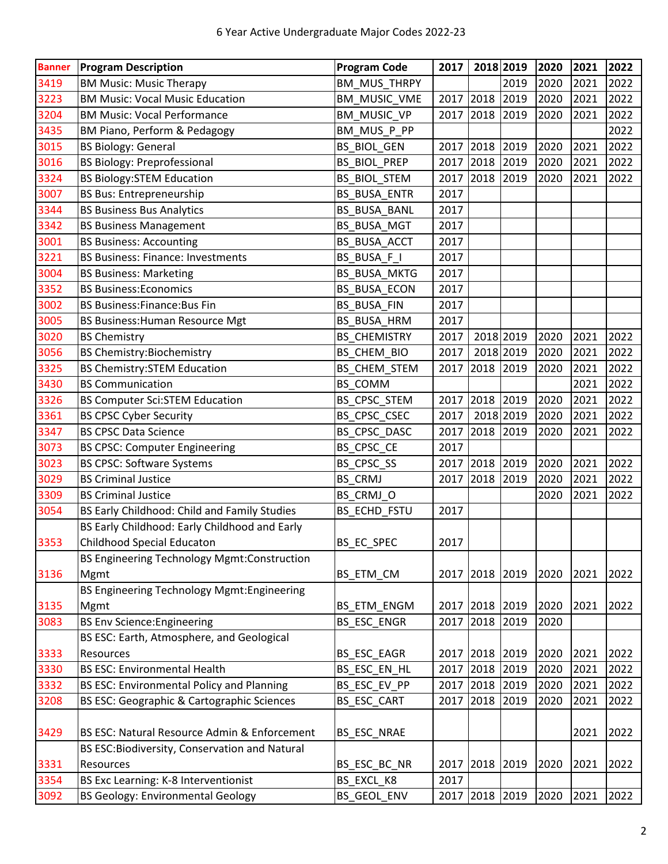| <b>Banner</b> | <b>Program Description</b>                       | <b>Program Code</b> | 2017      | 2018 2019 |      | 2020 | 2021 | 2022 |
|---------------|--------------------------------------------------|---------------------|-----------|-----------|------|------|------|------|
| 3419          | <b>BM Music: Music Therapy</b>                   | <b>BM_MUS_THRPY</b> |           |           | 2019 | 2020 | 2021 | 2022 |
| 3223          | <b>BM Music: Vocal Music Education</b>           | BM_MUSIC_VME        | 2017      | 2018      | 2019 | 2020 | 2021 | 2022 |
| 3204          | <b>BM Music: Vocal Performance</b>               | BM_MUSIC_VP         | 2017      | 2018      | 2019 | 2020 | 2021 | 2022 |
| 3435          | BM Piano, Perform & Pedagogy                     | BM_MUS_P_PP         |           |           |      |      |      | 2022 |
| 3015          | <b>BS Biology: General</b>                       | <b>BS_BIOL_GEN</b>  | 2017      | 2018      | 2019 | 2020 | 2021 | 2022 |
| 3016          | <b>BS Biology: Preprofessional</b>               | <b>BS_BIOL_PREP</b> | 2017      | 2018      | 2019 | 2020 | 2021 | 2022 |
| 3324          | <b>BS Biology:STEM Education</b>                 | <b>BS_BIOL_STEM</b> | 2017      | 2018      | 2019 | 2020 | 2021 | 2022 |
| 3007          | <b>BS Bus: Entrepreneurship</b>                  | BS_BUSA_ENTR        | 2017      |           |      |      |      |      |
| 3344          | <b>BS Business Bus Analytics</b>                 | <b>BS_BUSA_BANL</b> | 2017      |           |      |      |      |      |
| 3342          | <b>BS Business Management</b>                    | BS_BUSA_MGT         | 2017      |           |      |      |      |      |
| 3001          | <b>BS Business: Accounting</b>                   | BS_BUSA_ACCT        | 2017      |           |      |      |      |      |
| 3221          | <b>BS Business: Finance: Investments</b>         | BS_BUSA_F_I         | 2017      |           |      |      |      |      |
| 3004          | <b>BS Business: Marketing</b>                    | <b>BS_BUSA_MKTG</b> | 2017      |           |      |      |      |      |
| 3352          | <b>BS Business: Economics</b>                    | <b>BS_BUSA_ECON</b> | 2017      |           |      |      |      |      |
| 3002          | <b>BS Business: Finance: Bus Fin</b>             | <b>BS_BUSA_FIN</b>  | 2017      |           |      |      |      |      |
| 3005          | <b>BS Business: Human Resource Mgt</b>           | BS_BUSA_HRM         | 2017      |           |      |      |      |      |
| 3020          | <b>BS Chemistry</b>                              | <b>BS_CHEMISTRY</b> | 2017      | 2018 2019 |      | 2020 | 2021 | 2022 |
| 3056          | <b>BS Chemistry:Biochemistry</b>                 | BS_CHEM_BIO         | 2017      | 2018 2019 |      | 2020 | 2021 | 2022 |
| 3325          | <b>BS Chemistry: STEM Education</b>              | BS_CHEM_STEM        | 2017      | 2018      | 2019 | 2020 | 2021 | 2022 |
| 3430          | <b>BS Communication</b>                          | BS_COMM             |           |           |      |      | 2021 | 2022 |
| 3326          | <b>BS Computer Sci:STEM Education</b>            | BS_CPSC_STEM        | 2017      | 2018      | 2019 | 2020 | 2021 | 2022 |
| 3361          | <b>BS CPSC Cyber Security</b>                    | BS_CPSC_CSEC        | 2017      | 2018 2019 |      | 2020 | 2021 | 2022 |
| 3347          | <b>BS CPSC Data Science</b>                      | BS_CPSC_DASC        | 2017      | 2018      | 2019 | 2020 | 2021 | 2022 |
| 3073          | <b>BS CPSC: Computer Engineering</b>             | BS_CPSC_CE          | 2017      |           |      |      |      |      |
| 3023          | <b>BS CPSC: Software Systems</b>                 | BS_CPSC_SS          | 2017      | 2018      | 2019 | 2020 | 2021 | 2022 |
| 3029          | <b>BS Criminal Justice</b>                       | BS_CRMJ             | 2017      | 2018      | 2019 | 2020 | 2021 | 2022 |
| 3309          | <b>BS Criminal Justice</b>                       | BS_CRMJ_O           |           |           |      | 2020 | 2021 | 2022 |
| 3054          | BS Early Childhood: Child and Family Studies     | BS_ECHD_FSTU        | 2017      |           |      |      |      |      |
|               | BS Early Childhood: Early Childhood and Early    |                     |           |           |      |      |      |      |
| 3353          | Childhood Special Educaton                       | BS EC SPEC          | 2017      |           |      |      |      |      |
|               | BS Engineering Technology Mgmt:Construction      |                     |           |           |      |      |      |      |
| 3136          | Mgmt                                             | BS_ETM_CM           | 2017      | 2018      | 2019 | 2020 | 2021 | 2022 |
|               | BS Engineering Technology Mgmt: Engineering      |                     |           |           |      |      |      |      |
| 3135          | Mgmt                                             | BS_ETM_ENGM         | 2017      | 2018 2019 |      | 2020 | 2021 | 2022 |
| 3083          | <b>BS Env Science: Engineering</b>               | <b>BS ESC ENGR</b>  | 2017      | 2018      | 2019 | 2020 |      |      |
|               | BS ESC: Earth, Atmosphere, and Geological        |                     |           |           |      |      |      |      |
| 3333          | Resources                                        | BS_ESC_EAGR         | 2017 2018 |           | 2019 | 2020 | 2021 | 2022 |
| 3330          | <b>BS ESC: Environmental Health</b>              | BS_ESC_EN_HL        | 2017      | 2018      | 2019 | 2020 | 2021 | 2022 |
| 3332          | <b>BS ESC: Environmental Policy and Planning</b> | BS ESC EV PP        | 2017      | 2018      | 2019 | 2020 | 2021 | 2022 |
| 3208          | BS ESC: Geographic & Cartographic Sciences       | BS_ESC_CART         | 2017      | 2018      | 2019 | 2020 | 2021 | 2022 |
|               |                                                  |                     |           |           |      |      |      |      |
| 3429          | BS ESC: Natural Resource Admin & Enforcement     | BS_ESC_NRAE         |           |           |      |      | 2021 | 2022 |
|               | BS ESC: Biodiversity, Conservation and Natural   |                     |           |           |      |      |      |      |
| 3331          | Resources                                        | BS_ESC_BC_NR        | 2017 2018 |           | 2019 | 2020 | 2021 | 2022 |
| 3354          | BS Exc Learning: K-8 Interventionist             | BS_EXCL_K8          | 2017      |           |      |      |      |      |
| 3092          | <b>BS Geology: Environmental Geology</b>         | BS_GEOL_ENV         | 2017      | 2018 2019 |      | 2020 | 2021 | 2022 |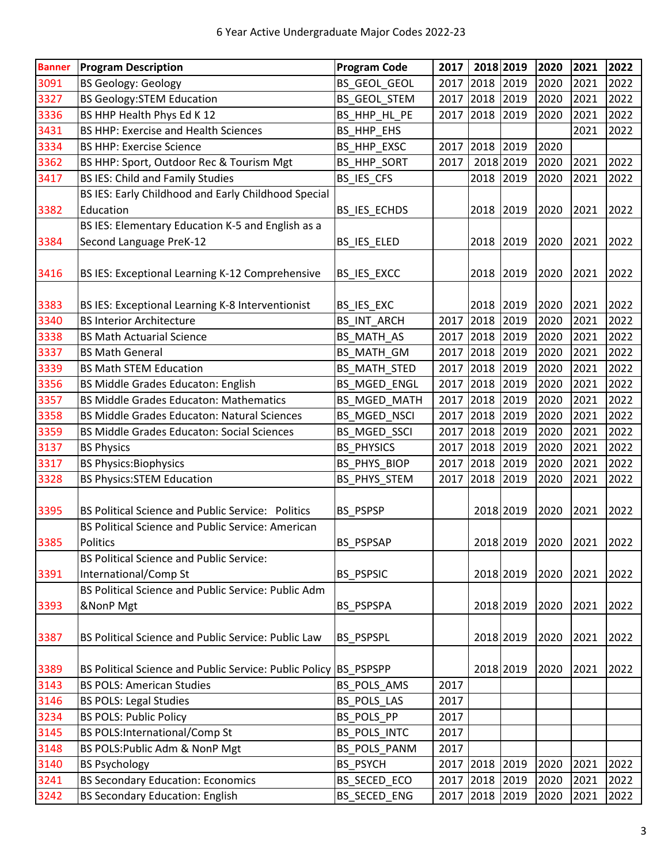| <b>Banner</b> | <b>Program Description</b>                                       | <b>Program Code</b> | 2017      | 2018 2019      |           | 2020 | 2021 | 2022 |
|---------------|------------------------------------------------------------------|---------------------|-----------|----------------|-----------|------|------|------|
| 3091          | <b>BS Geology: Geology</b>                                       | BS_GEOL_GEOL        | 2017      | 2018           | 2019      | 2020 | 2021 | 2022 |
| 3327          | <b>BS Geology:STEM Education</b>                                 | BS_GEOL_STEM        | 2017      | 2018           | 2019      | 2020 | 2021 | 2022 |
| 3336          | BS HHP Health Phys Ed K 12                                       | BS_HHP_HL_PE        | 2017      | 2018           | 2019      | 2020 | 2021 | 2022 |
| 3431          | <b>BS HHP: Exercise and Health Sciences</b>                      | BS_HHP_EHS          |           |                |           |      | 2021 | 2022 |
| 3334          | <b>BS HHP: Exercise Science</b>                                  | BS_HHP_EXSC         | 2017      | 2018           | 2019      | 2020 |      |      |
| 3362          | BS HHP: Sport, Outdoor Rec & Tourism Mgt                         | BS_HHP_SORT         | 2017      | 2018 2019      |           | 2020 | 2021 | 2022 |
| 3417          | <b>BS IES: Child and Family Studies</b>                          | BS_IES_CFS          |           | 2018           | 2019      | 2020 | 2021 | 2022 |
|               | BS IES: Early Childhood and Early Childhood Special              |                     |           |                |           |      |      |      |
| 3382          | Education                                                        | BS_IES_ECHDS        |           | 2018 2019      |           | 2020 | 2021 | 2022 |
|               | BS IES: Elementary Education K-5 and English as a                |                     |           |                |           |      |      |      |
| 3384          | Second Language PreK-12                                          | BS_IES_ELED         |           | 2018 2019      |           | 2020 | 2021 | 2022 |
|               |                                                                  |                     |           |                |           |      |      |      |
| 3416          | BS IES: Exceptional Learning K-12 Comprehensive                  | BS_IES_EXCC         |           | 2018           | 2019      | 2020 | 2021 | 2022 |
|               |                                                                  |                     |           |                |           |      |      |      |
| 3383          | BS IES: Exceptional Learning K-8 Interventionist                 | BS_IES_EXC          |           | 2018 2019      |           | 2020 | 2021 | 2022 |
| 3340          | <b>BS Interior Architecture</b>                                  | <b>BS_INT_ARCH</b>  | 2017      | 2018           | 2019      | 2020 | 2021 | 2022 |
| 3338          | <b>BS Math Actuarial Science</b>                                 | BS_MATH_AS          | 2017      | 2018           | 2019      | 2020 | 2021 | 2022 |
| 3337          | <b>BS Math General</b>                                           | BS_MATH_GM          | 2017 2018 |                | 2019      | 2020 | 2021 | 2022 |
| 3339          | <b>BS Math STEM Education</b>                                    | BS_MATH_STED        | 2017      | 2018           | 2019      | 2020 | 2021 | 2022 |
| 3356          | <b>BS Middle Grades Educaton: English</b>                        | BS_MGED_ENGL        | 2017      | 2018           | 2019      | 2020 | 2021 | 2022 |
| 3357          | <b>BS Middle Grades Educaton: Mathematics</b>                    | BS_MGED_MATH        | 2017      | 2018           | 2019      | 2020 | 2021 | 2022 |
| 3358          | <b>BS Middle Grades Educaton: Natural Sciences</b>               | BS_MGED_NSCI        | 2017      | 2018           | 2019      | 2020 | 2021 | 2022 |
| 3359          | <b>BS Middle Grades Educaton: Social Sciences</b>                | BS_MGED_SSCI        | 2017 2018 |                | 2019      | 2020 | 2021 | 2022 |
| 3137          | <b>BS Physics</b>                                                | <b>BS_PHYSICS</b>   | 2017      | 2018           | 2019      | 2020 | 2021 | 2022 |
| 3317          | <b>BS Physics:Biophysics</b>                                     | BS_PHYS_BIOP        | 2017 2018 |                | 2019      | 2020 | 2021 | 2022 |
| 3328          | <b>BS Physics:STEM Education</b>                                 | BS_PHYS_STEM        | 2017      | 2018           | 2019      | 2020 | 2021 | 2022 |
|               |                                                                  |                     |           |                |           |      |      |      |
| 3395          | <b>BS Political Science and Public Service: Politics</b>         | BS_PSPSP            |           | 2018 2019      |           | 2020 | 2021 | 2022 |
|               | BS Political Science and Public Service: American                |                     |           |                |           |      |      |      |
| 3385          | Politics                                                         | BS PSPSAP           |           |                | 2018 2019 | 2020 | 2021 | 2022 |
|               | <b>BS Political Science and Public Service:</b>                  |                     |           |                |           |      |      |      |
| 3391          | International/Comp St                                            | <b>BS PSPSIC</b>    |           | 2018 2019      |           | 2020 | 2021 | 2022 |
|               | BS Political Science and Public Service: Public Adm              |                     |           |                |           |      |      |      |
| 3393          | &NonP Mgt                                                        | BS PSPSPA           |           |                | 2018 2019 | 2020 | 2021 | 2022 |
|               |                                                                  |                     |           |                |           |      |      |      |
| 3387          | BS Political Science and Public Service: Public Law              | <b>BS PSPSPL</b>    |           |                | 2018 2019 | 2020 | 2021 | 2022 |
|               |                                                                  |                     |           |                |           |      |      |      |
| 3389          | BS Political Science and Public Service: Public Policy BS PSPSPP |                     |           |                | 2018 2019 | 2020 | 2021 | 2022 |
| 3143          | <b>BS POLS: American Studies</b>                                 | BS_POLS_AMS         | 2017      |                |           |      |      |      |
| 3146          | <b>BS POLS: Legal Studies</b>                                    | BS POLS LAS         | 2017      |                |           |      |      |      |
| 3234          | <b>BS POLS: Public Policy</b>                                    | BS POLS PP          | 2017      |                |           |      |      |      |
| 3145          | <b>BS POLS:International/Comp St</b>                             | BS_POLS_INTC        | 2017      |                |           |      |      |      |
| 3148          | BS POLS: Public Adm & NonP Mgt                                   | BS_POLS_PANM        | 2017      |                |           |      |      |      |
| 3140          | <b>BS Psychology</b>                                             | <b>BS PSYCH</b>     | 2017 2018 |                | 2019      | 2020 | 2021 | 2022 |
| 3241          | <b>BS Secondary Education: Economics</b>                         | BS_SECED_ECO        | 2017      | 2018           | 2019      | 2020 | 2021 | 2022 |
| 3242          | <b>BS Secondary Education: English</b>                           | BS_SECED_ENG        |           | 2017 2018 2019 |           | 2020 | 2021 | 2022 |